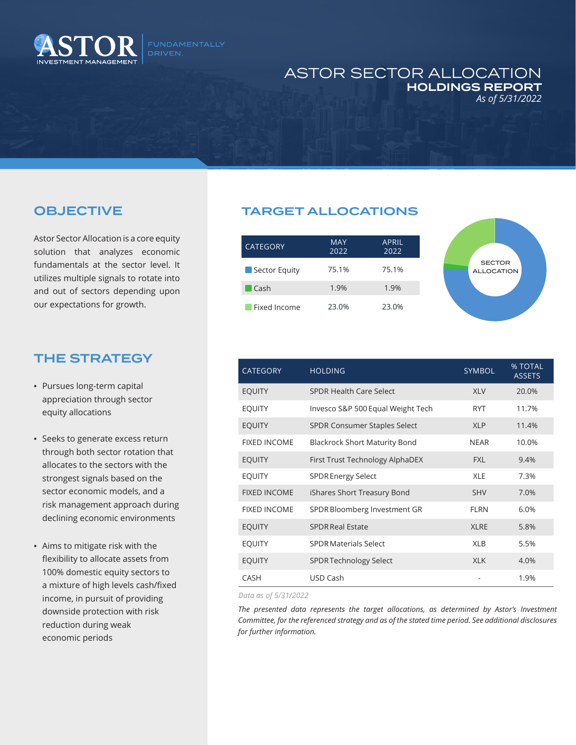

## ASTOR SECTOR ALLOCATION HOLDINGS REPORT *As of 5/31/2022*

## OBJECTIVE

Astor Sector Allocation is a core equity solution that analyzes economic fundamentals at the sector level. It utilizes multiple signals to rotate into and out of sectors depending upon our expectations for growth.

## THE STRATEGY

- Pursues long-term capital appreciation through sector equity allocations
- Seeks to generate excess return through both sector rotation that allocates to the sectors with the strongest signals based on the sector economic models, and a risk management approach during declining economic environments
- Aims to mitigate risk with the flexibility to allocate assets from 100% domestic equity sectors to a mixture of high levels cash/fixed income, in pursuit of providing downside protection with risk reduction during weak economic periods

## TARGET ALLOCATIONS

| <b>CATEGORY</b> | MAY<br>2022 | APRIL<br>2022 |
|-----------------|-------------|---------------|
| Sector Equity   | 75.1%       | 75.1%         |
| Cash            | 1.9%        | 1.9%          |
| Fixed Income    | 23.0%       | 23.0%         |



| <b>CATEGORY</b>     | <b>HOLDING</b>                       | SYMBOL      | % TOTAL<br><b>ASSETS</b> |
|---------------------|--------------------------------------|-------------|--------------------------|
| <b>EQUITY</b>       | SPDR Health Care Select              | <b>XLV</b>  | 20.0%                    |
| <b>EQUITY</b>       | Invesco S&P 500 Equal Weight Tech    | <b>RYT</b>  | 11.7%                    |
| <b>EQUITY</b>       | <b>SPDR Consumer Staples Select</b>  | <b>XLP</b>  | 11.4%                    |
| <b>FIXED INCOME</b> | <b>Blackrock Short Maturity Bond</b> | <b>NEAR</b> | 10.0%                    |
| <b>EQUITY</b>       | First Trust Technology AlphaDEX      | <b>FXL</b>  | 9.4%                     |
| <b>EQUITY</b>       | <b>SPDR Energy Select</b>            | <b>XLE</b>  | 7.3%                     |
| <b>FIXED INCOME</b> | iShares Short Treasury Bond          | <b>SHV</b>  | 7.0%                     |
| <b>FIXED INCOME</b> | SPDR Bloomberg Investment GR         | <b>FLRN</b> | 6.0%                     |
| <b>EQUITY</b>       | <b>SPDR Real Estate</b>              | <b>XLRE</b> | 5.8%                     |
| <b>EQUITY</b>       | <b>SPDR Materials Select</b>         | <b>XLB</b>  | 5.5%                     |
| <b>EQUITY</b>       | SPDR Technology Select               | <b>XLK</b>  | 4.0%                     |
| <b>CASH</b>         | USD Cash                             |             | 1.9%                     |

*Data as of 5/31/2022*

*The presented data represents the target allocations, as determined by Astor's Investment Committee, for the referenced strategy and as of the stated time period. See additional disclosures for further information.*